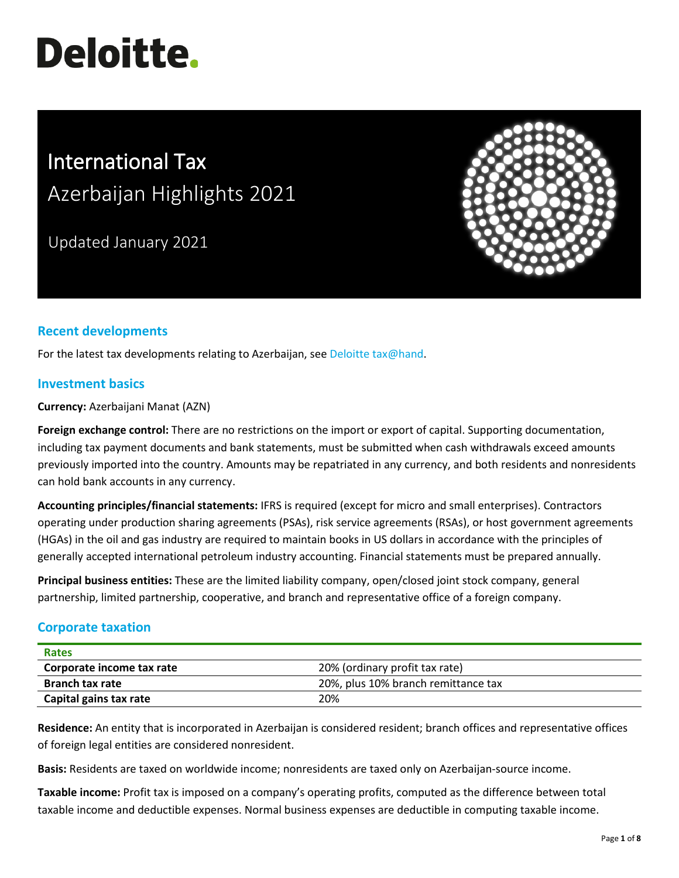# **Deloitte.**

# International Tax Azerbaijan Highlights 2021

Updated January 2021



# **Recent developments**

For the latest tax developments relating to Azerbaijan, see [Deloitte tax@hand.](https://www.taxathand.com/world-news/Azerbaijan)

# **Investment basics**

**Currency:** Azerbaijani Manat (AZN)

**Foreign exchange control:** There are no restrictions on the import or export of capital. Supporting documentation, including tax payment documents and bank statements, must be submitted when cash withdrawals exceed amounts previously imported into the country. Amounts may be repatriated in any currency, and both residents and nonresidents can hold bank accounts in any currency.

**Accounting principles/financial statements:** IFRS is required (except for micro and small enterprises). Contractors operating under production sharing agreements (PSAs), risk service agreements (RSAs), or host government agreements (HGAs) in the oil and gas industry are required to maintain books in US dollars in accordance with the principles of generally accepted international petroleum industry accounting. Financial statements must be prepared annually.

**Principal business entities:** These are the limited liability company, open/closed joint stock company, general partnership, limited partnership, cooperative, and branch and representative office of a foreign company.

# **Corporate taxation**

| <b>Rates</b>              |                                     |
|---------------------------|-------------------------------------|
| Corporate income tax rate | 20% (ordinary profit tax rate)      |
| <b>Branch tax rate</b>    | 20%, plus 10% branch remittance tax |
| Capital gains tax rate    | 20%                                 |

**Residence:** An entity that is incorporated in Azerbaijan is considered resident; branch offices and representative offices of foreign legal entities are considered nonresident.

**Basis:** Residents are taxed on worldwide income; nonresidents are taxed only on Azerbaijan-source income.

**Taxable income:** Profit tax is imposed on a company's operating profits, computed as the difference between total taxable income and deductible expenses. Normal business expenses are deductible in computing taxable income.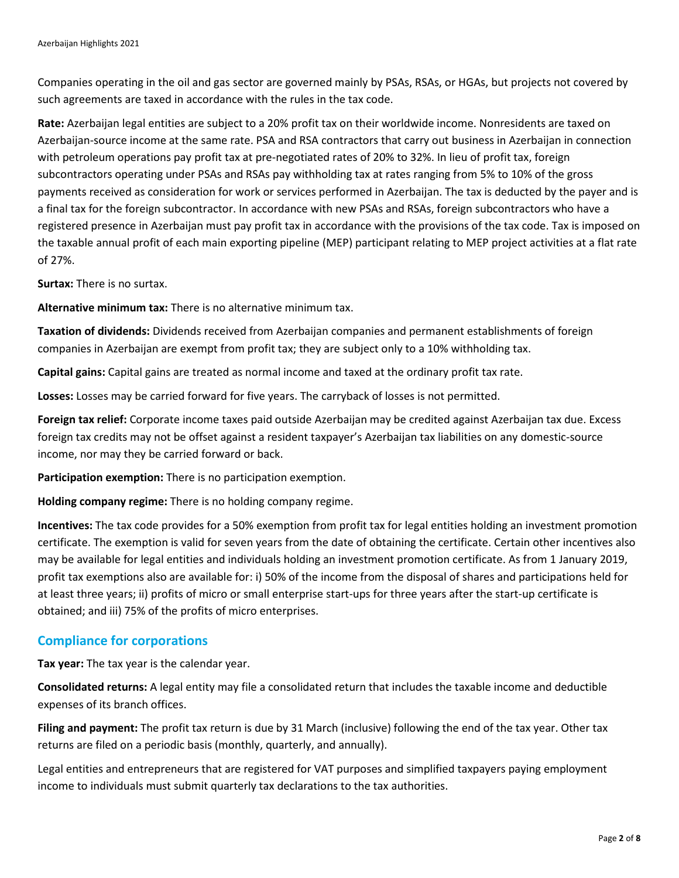Companies operating in the oil and gas sector are governed mainly by PSAs, RSAs, or HGAs, but projects not covered by such agreements are taxed in accordance with the rules in the tax code.

**Rate:** Azerbaijan legal entities are subject to a 20% profit tax on their worldwide income. Nonresidents are taxed on Azerbaijan-source income at the same rate. PSA and RSA contractors that carry out business in Azerbaijan in connection with petroleum operations pay profit tax at pre-negotiated rates of 20% to 32%. In lieu of profit tax, foreign subcontractors operating under PSAs and RSAs pay withholding tax at rates ranging from 5% to 10% of the gross payments received as consideration for work or services performed in Azerbaijan. The tax is deducted by the payer and is a final tax for the foreign subcontractor. In accordance with new PSAs and RSAs, foreign subcontractors who have a registered presence in Azerbaijan must pay profit tax in accordance with the provisions of the tax code. Tax is imposed on the taxable annual profit of each main exporting pipeline (MEP) participant relating to MEP project activities at a flat rate of 27%.

**Surtax:** There is no surtax.

**Alternative minimum tax:** There is no alternative minimum tax.

**Taxation of dividends:** Dividends received from Azerbaijan companies and permanent establishments of foreign companies in Azerbaijan are exempt from profit tax; they are subject only to a 10% withholding tax.

**Capital gains:** Capital gains are treated as normal income and taxed at the ordinary profit tax rate.

**Losses:** Losses may be carried forward for five years. The carryback of losses is not permitted.

**Foreign tax relief:** Corporate income taxes paid outside Azerbaijan may be credited against Azerbaijan tax due. Excess foreign tax credits may not be offset against a resident taxpayer's Azerbaijan tax liabilities on any domestic-source income, nor may they be carried forward or back.

**Participation exemption:** There is no participation exemption.

**Holding company regime:** There is no holding company regime.

**Incentives:** The tax code provides for a 50% exemption from profit tax for legal entities holding an investment promotion certificate. The exemption is valid for seven years from the date of obtaining the certificate. Certain other incentives also may be available for legal entities and individuals holding an investment promotion certificate. As from 1 January 2019, profit tax exemptions also are available for: i) 50% of the income from the disposal of shares and participations held for at least three years; ii) profits of micro or small enterprise start-ups for three years after the start-up certificate is obtained; and iii) 75% of the profits of micro enterprises.

# **Compliance for corporations**

**Tax year:** The tax year is the calendar year.

**Consolidated returns:** A legal entity may file a consolidated return that includes the taxable income and deductible expenses of its branch offices.

**Filing and payment:** The profit tax return is due by 31 March (inclusive) following the end of the tax year. Other tax returns are filed on a periodic basis (monthly, quarterly, and annually).

Legal entities and entrepreneurs that are registered for VAT purposes and simplified taxpayers paying employment income to individuals must submit quarterly tax declarations to the tax authorities.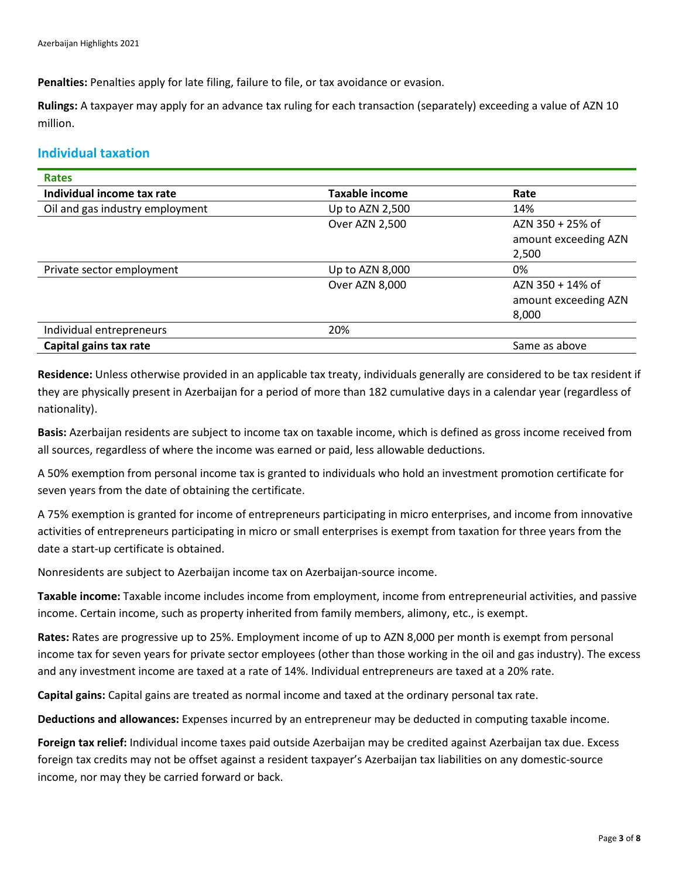**Penalties:** Penalties apply for late filing, failure to file, or tax avoidance or evasion.

**Rulings:** A taxpayer may apply for an advance tax ruling for each transaction (separately) exceeding a value of AZN 10 million.

# **Individual taxation**

| <b>Rates</b>                    |                 |                      |
|---------------------------------|-----------------|----------------------|
| Individual income tax rate      | Taxable income  | Rate                 |
| Oil and gas industry employment | Up to AZN 2,500 | 14%                  |
|                                 | Over AZN 2,500  | AZN 350 + 25% of     |
|                                 |                 | amount exceeding AZN |
|                                 |                 | 2,500                |
| Private sector employment       | Up to AZN 8,000 | 0%                   |
|                                 | Over AZN 8,000  | $AZN$ 350 + 14% of   |
|                                 |                 | amount exceeding AZN |
|                                 |                 | 8,000                |
| Individual entrepreneurs        | 20%             |                      |
| Capital gains tax rate          |                 | Same as above        |

**Residence:** Unless otherwise provided in an applicable tax treaty, individuals generally are considered to be tax resident if they are physically present in Azerbaijan for a period of more than 182 cumulative days in a calendar year (regardless of nationality).

**Basis:** Azerbaijan residents are subject to income tax on taxable income, which is defined as gross income received from all sources, regardless of where the income was earned or paid, less allowable deductions.

A 50% exemption from personal income tax is granted to individuals who hold an investment promotion certificate for seven years from the date of obtaining the certificate.

A 75% exemption is granted for income of entrepreneurs participating in micro enterprises, and income from innovative activities of entrepreneurs participating in micro or small enterprises is exempt from taxation for three years from the date a start-up certificate is obtained.

Nonresidents are subject to Azerbaijan income tax on Azerbaijan-source income.

**Taxable income:** Taxable income includes income from employment, income from entrepreneurial activities, and passive income. Certain income, such as property inherited from family members, alimony, etc., is exempt.

**Rates:** Rates are progressive up to 25%. Employment income of up to AZN 8,000 per month is exempt from personal income tax for seven years for private sector employees (other than those working in the oil and gas industry). The excess and any investment income are taxed at a rate of 14%. Individual entrepreneurs are taxed at a 20% rate.

**Capital gains:** Capital gains are treated as normal income and taxed at the ordinary personal tax rate.

**Deductions and allowances:** Expenses incurred by an entrepreneur may be deducted in computing taxable income.

**Foreign tax relief:** Individual income taxes paid outside Azerbaijan may be credited against Azerbaijan tax due. Excess foreign tax credits may not be offset against a resident taxpayer's Azerbaijan tax liabilities on any domestic-source income, nor may they be carried forward or back.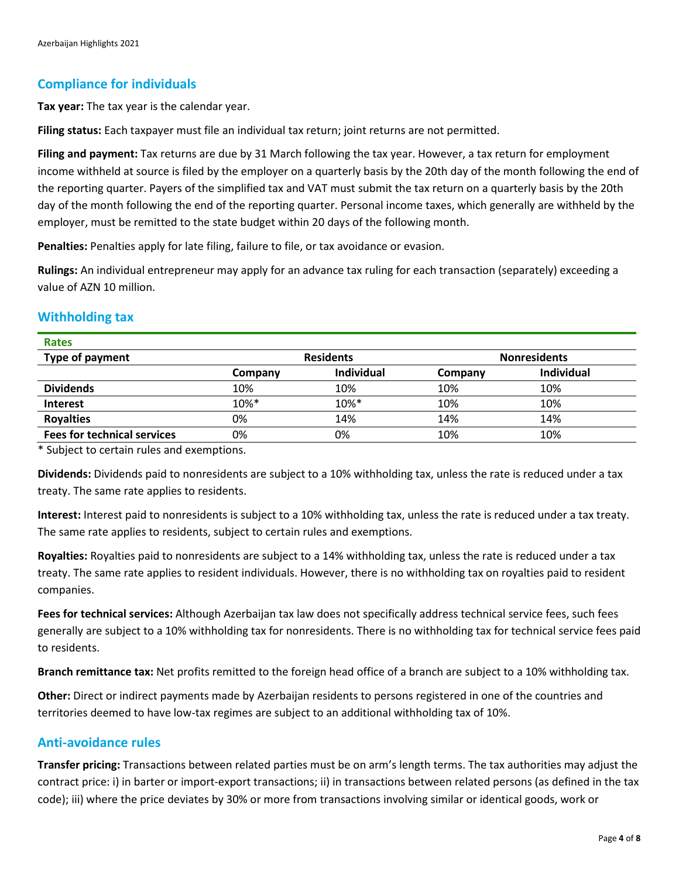# **Compliance for individuals**

**Tax year:** The tax year is the calendar year.

**Filing status:** Each taxpayer must file an individual tax return; joint returns are not permitted.

**Filing and payment:** Tax returns are due by 31 March following the tax year. However, a tax return for employment income withheld at source is filed by the employer on a quarterly basis by the 20th day of the month following the end of the reporting quarter. Payers of the simplified tax and VAT must submit the tax return on a quarterly basis by the 20th day of the month following the end of the reporting quarter. Personal income taxes, which generally are withheld by the employer, must be remitted to the state budget within 20 days of the following month.

**Penalties:** Penalties apply for late filing, failure to file, or tax avoidance or evasion.

**Rulings:** An individual entrepreneur may apply for an advance tax ruling for each transaction (separately) exceeding a value of AZN 10 million.

# **Withholding tax**

| <b>Rates</b>                       |                  |            |                     |                   |
|------------------------------------|------------------|------------|---------------------|-------------------|
| Type of payment                    | <b>Residents</b> |            | <b>Nonresidents</b> |                   |
|                                    | Company          | Individual | Company             | <b>Individual</b> |
| <b>Dividends</b>                   | 10%              | 10%        | 10%                 | 10%               |
| <b>Interest</b>                    | $10\%*$          | 10%*       | 10%                 | 10%               |
| <b>Royalties</b>                   | 0%               | 14%        | 14%                 | 14%               |
| <b>Fees for technical services</b> | 0%               | 0%         | 10%                 | 10%               |

\* Subject to certain rules and exemptions.

**Dividends:** Dividends paid to nonresidents are subject to a 10% withholding tax, unless the rate is reduced under a tax treaty. The same rate applies to residents.

**Interest:** Interest paid to nonresidents is subject to a 10% withholding tax, unless the rate is reduced under a tax treaty. The same rate applies to residents, subject to certain rules and exemptions.

**Royalties:** Royalties paid to nonresidents are subject to a 14% withholding tax, unless the rate is reduced under a tax treaty. The same rate applies to resident individuals. However, there is no withholding tax on royalties paid to resident companies.

**Fees for technical services:** Although Azerbaijan tax law does not specifically address technical service fees, such fees generally are subject to a 10% withholding tax for nonresidents. There is no withholding tax for technical service fees paid to residents.

**Branch remittance tax:** Net profits remitted to the foreign head office of a branch are subject to a 10% withholding tax.

**Other:** Direct or indirect payments made by Azerbaijan residents to persons registered in one of the countries and territories deemed to have low-tax regimes are subject to an additional withholding tax of 10%.

# **Anti-avoidance rules**

**Transfer pricing:** Transactions between related parties must be on arm's length terms. The tax authorities may adjust the contract price: i) in barter or import-export transactions; ii) in transactions between related persons (as defined in the tax code); iii) where the price deviates by 30% or more from transactions involving similar or identical goods, work or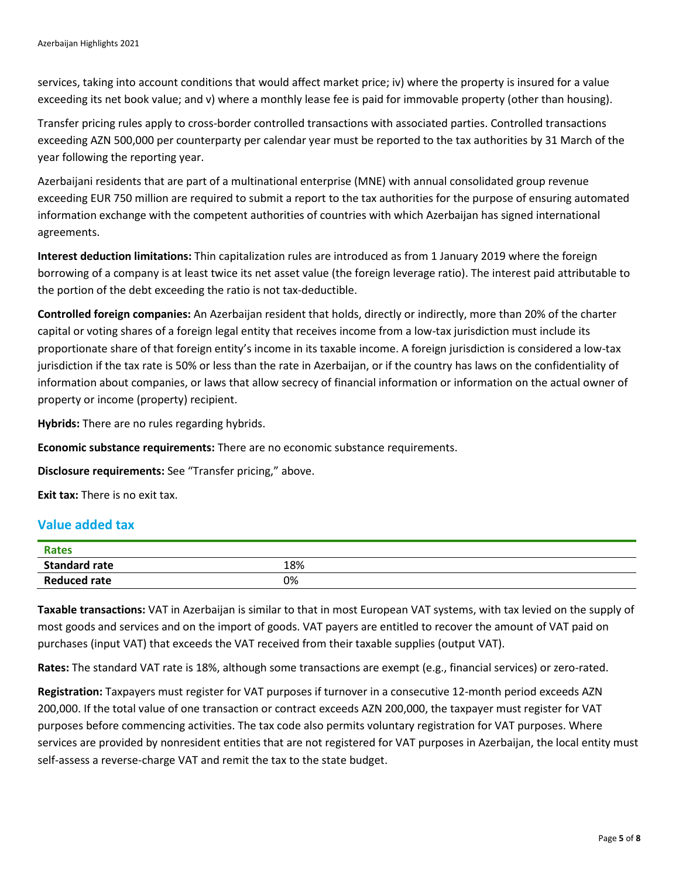services, taking into account conditions that would affect market price; iv) where the property is insured for a value exceeding its net book value; and v) where a monthly lease fee is paid for immovable property (other than housing).

Transfer pricing rules apply to cross-border controlled transactions with associated parties. Controlled transactions exceeding AZN 500,000 per counterparty per calendar year must be reported to the tax authorities by 31 March of the year following the reporting year.

Azerbaijani residents that are part of a multinational enterprise (MNE) with annual consolidated group revenue exceeding EUR 750 million are required to submit a report to the tax authorities for the purpose of ensuring automated information exchange with the competent authorities of countries with which Azerbaijan has signed international agreements.

**Interest deduction limitations:** Thin capitalization rules are introduced as from 1 January 2019 where the foreign borrowing of a company is at least twice its net asset value (the foreign leverage ratio). The interest paid attributable to the portion of the debt exceeding the ratio is not tax-deductible.

**Controlled foreign companies:** An Azerbaijan resident that holds, directly or indirectly, more than 20% of the charter capital or voting shares of a foreign legal entity that receives income from a low-tax jurisdiction must include its proportionate share of that foreign entity's income in its taxable income. A foreign jurisdiction is considered a low-tax jurisdiction if the tax rate is 50% or less than the rate in Azerbaijan, or if the country has laws on the confidentiality of information about companies, or laws that allow secrecy of financial information or information on the actual owner of property or income (property) recipient.

**Hybrids:** There are no rules regarding hybrids.

**Economic substance requirements:** There are no economic substance requirements.

**Disclosure requirements:** See "Transfer pricing," above.

**Exit tax:** There is no exit tax.

#### **Value added tax**

| <b>Rates</b>         |     |
|----------------------|-----|
| <b>Standard rate</b> | 18% |
| <b>Reduced rate</b>  | 0%  |

**Taxable transactions:** VAT in Azerbaijan is similar to that in most European VAT systems, with tax levied on the supply of most goods and services and on the import of goods. VAT payers are entitled to recover the amount of VAT paid on purchases (input VAT) that exceeds the VAT received from their taxable supplies (output VAT).

**Rates:** The standard VAT rate is 18%, although some transactions are exempt (e.g., financial services) or zero-rated.

**Registration:** Taxpayers must register for VAT purposes if turnover in a consecutive 12-month period exceeds AZN 200,000. If the total value of one transaction or contract exceeds AZN 200,000, the taxpayer must register for VAT purposes before commencing activities. The tax code also permits voluntary registration for VAT purposes. Where services are provided by nonresident entities that are not registered for VAT purposes in Azerbaijan, the local entity must self-assess a reverse-charge VAT and remit the tax to the state budget.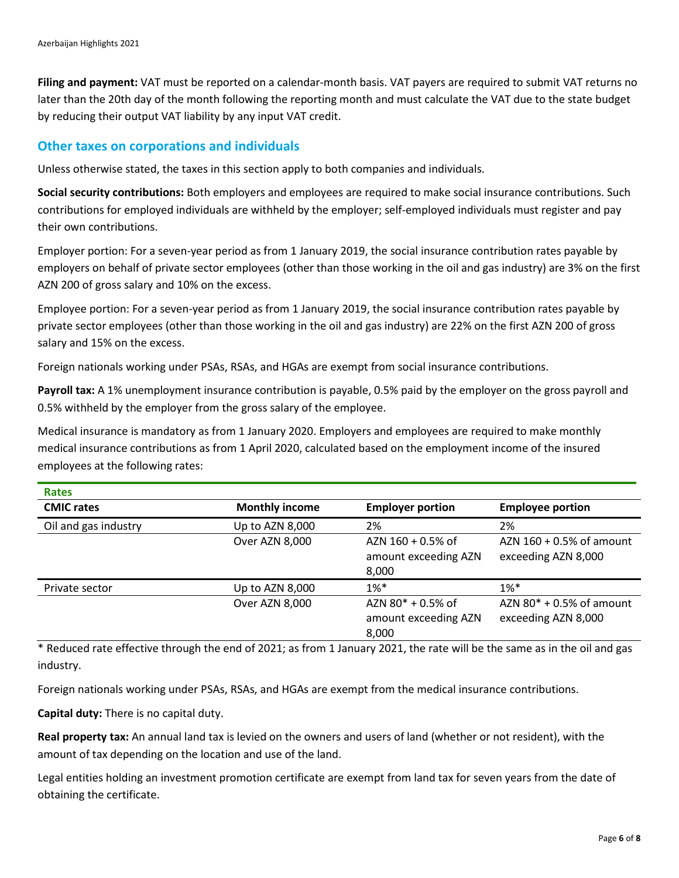**Filing and payment:** VAT must be reported on a calendar-month basis. VAT payers are required to submit VAT returns no later than the 20th day of the month following the reporting month and must calculate the VAT due to the state budget by reducing their output VAT liability by any input VAT credit.

#### **Other taxes on corporations and individuals**

Unless otherwise stated, the taxes in this section apply to both companies and individuals.

**Social security contributions:** Both employers and employees are required to make social insurance contributions. Such contributions for employed individuals are withheld by the employer; self-employed individuals must register and pay their own contributions.

Employer portion: For a seven-year period as from 1 January 2019, the social insurance contribution rates payable by employers on behalf of private sector employees (other than those working in the oil and gas industry) are 3% on the first AZN 200 of gross salary and 10% on the excess.

Employee portion: For a seven-year period as from 1 January 2019, the social insurance contribution rates payable by private sector employees (other than those working in the oil and gas industry) are 22% on the first AZN 200 of gross salary and 15% on the excess.

Foreign nationals working under PSAs, RSAs, and HGAs are exempt from social insurance contributions.

**Payroll tax:** A 1% unemployment insurance contribution is payable, 0.5% paid by the employer on the gross payroll and 0.5% withheld by the employer from the gross salary of the employee.

Medical insurance is mandatory as from 1 January 2020. Employers and employees are required to make monthly medical insurance contributions as from 1 April 2020, calculated based on the employment income of the insured employees at the following rates:

| <b>Rates</b>         |                       |                         |                             |
|----------------------|-----------------------|-------------------------|-----------------------------|
| <b>CMIC rates</b>    | <b>Monthly income</b> | <b>Employer portion</b> | <b>Employee portion</b>     |
| Oil and gas industry | Up to AZN 8,000       | 2%                      | 2%                          |
|                      | Over AZN 8,000        | AZN $160 + 0.5%$ of     | AZN $160 + 0.5%$ of amount  |
|                      |                       | amount exceeding AZN    | exceeding AZN 8,000         |
|                      |                       | 8,000                   |                             |
| Private sector       | Up to AZN 8,000       | $1\%$ <sup>*</sup>      | $1\%*$                      |
|                      | Over AZN 8,000        | AZN $80^*$ + 0.5% of    | AZN $80^*$ + 0.5% of amount |
|                      |                       | amount exceeding AZN    | exceeding AZN 8,000         |
|                      |                       | 8,000                   |                             |

\* Reduced rate effective through the end of 2021; as from 1 January 2021, the rate will be the same as in the oil and gas industry.

Foreign nationals working under PSAs, RSAs, and HGAs are exempt from the medical insurance contributions.

**Capital duty:** There is no capital duty.

**Real property tax:** An annual land tax is levied on the owners and users of land (whether or not resident), with the amount of tax depending on the location and use of the land.

Legal entities holding an investment promotion certificate are exempt from land tax for seven years from the date of obtaining the certificate.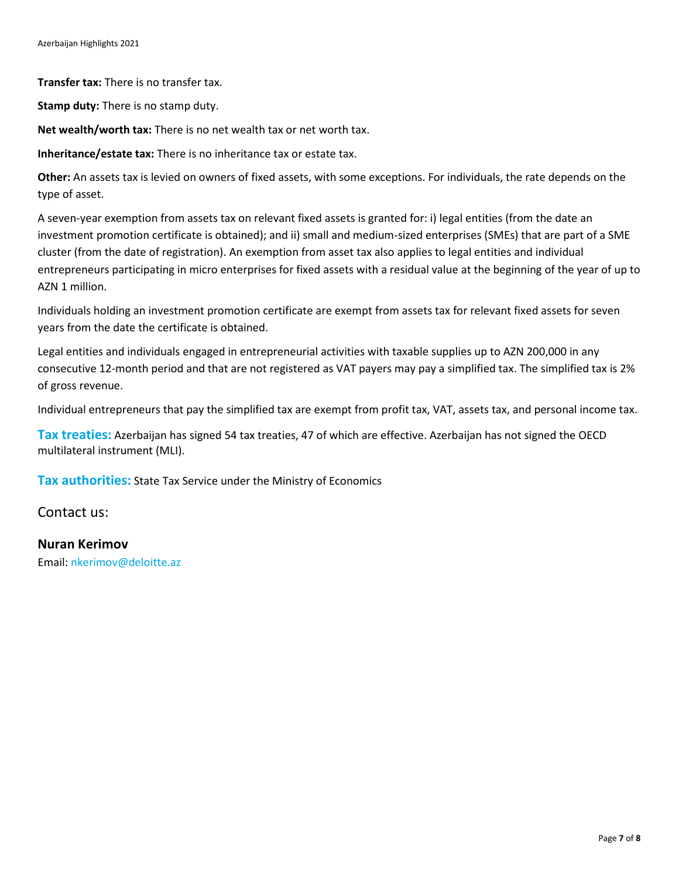**Transfer tax:** There is no transfer tax.

**Stamp duty:** There is no stamp duty.

**Net wealth/worth tax:** There is no net wealth tax or net worth tax.

**Inheritance/estate tax:** There is no inheritance tax or estate tax.

**Other:** An assets tax is levied on owners of fixed assets, with some exceptions. For individuals, the rate depends on the type of asset.

A seven-year exemption from assets tax on relevant fixed assets is granted for: i) legal entities (from the date an investment promotion certificate is obtained); and ii) small and medium-sized enterprises (SMEs) that are part of a SME cluster (from the date of registration). An exemption from asset tax also applies to legal entities and individual entrepreneurs participating in micro enterprises for fixed assets with a residual value at the beginning of the year of up to AZN 1 million.

Individuals holding an investment promotion certificate are exempt from assets tax for relevant fixed assets for seven years from the date the certificate is obtained.

Legal entities and individuals engaged in entrepreneurial activities with taxable supplies up to AZN 200,000 in any consecutive 12-month period and that are not registered as VAT payers may pay a simplified tax. The simplified tax is 2% of gross revenue.

Individual entrepreneurs that pay the simplified tax are exempt from profit tax, VAT, assets tax, and personal income tax.

**Tax treaties:** Azerbaijan has signed 54 tax treaties, 47 of which are effective. Azerbaijan has not signed the OECD multilateral instrument (MLI).

**Tax authorities:** State Tax Service under the Ministry of Economics

Contact us:

#### **Nuran Kerimov**

Email: [nkerimov@deloitte.az](mailto:nkerimov@deloitte.az)